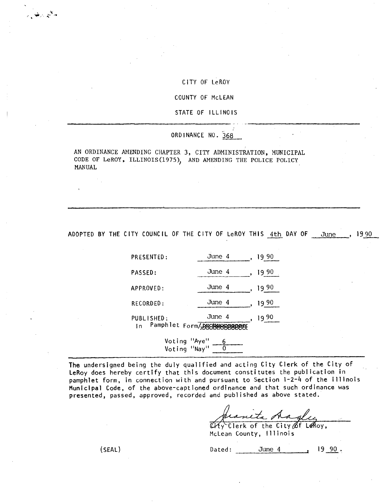## CITY OF LeROY

COUNTY OF McLEAN

STATE OF ILLINOIS

## ORDINANCE NO. 368

AN ORDINANCE AMENDING CHAPTER 3, CITY ADMINISTRATION, MUNICIPAL CODE OF LeROY, ILLINOIS(1975), AND AMENDING THE POLICE POLICY MANUAL

ADOPTED BY THE CITY COUNCIL OF THE CITY OF LeROY THIS 4th DAY OF June , 1990

| PRESENTED:                           | June 4 | 19 90 |
|--------------------------------------|--------|-------|
| <b>PASSED:</b>                       | June 4 | 19 90 |
| APPROVED:                            | June 4 | 19 90 |
| RECORDED:                            | June 4 | 19 90 |
| PUBLISHED:<br>Pamphlet Form/W<br>l n | June 4 | 990   |

Voting "Aye" 6 Voting "Nay"

The undersigned being the duly qualified and acting City Clerk of the City of LeRoy does hereby certify that this document constitutes the publication in pamphlet form, in connection with and pursuant to Section 1-2-4 of the Illinois Municipal Code, of the above-captioned ordinance and that such ordinance was presented, passed, approved, recorded and published as above stated.

aneta dag

 $\widetilde{\mathcal{U}}$ Y Clerk of the City  $\cancel{\emptyset}$ f LeRoy, McLean County, Illinois

 $(SEAL)$  Dated: June 4 , 19 90.

سائيون رهودان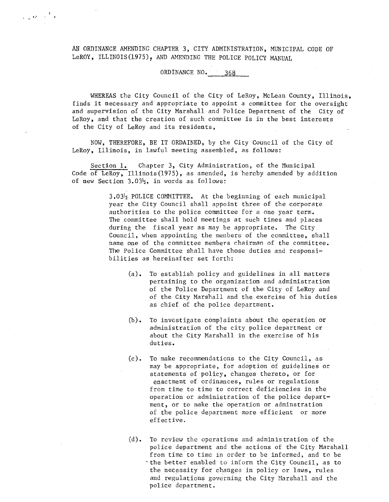AN ORDINANCE AMENDING CHAPTER 3, CITY ADMINISTRATION, MUNICIPAL CODE OF LeROY, ILLINOIS(1975), AND AMENDING THE POLICE POLICY MANUAL

 $\frac{1}{\sqrt{2}}\int_{\mathbb{R}^d} \left(\frac{1}{\sqrt{2}}\right)^2 \, d\tau = \frac{1}{2}\int_{\mathbb{R}^d} \frac{1}{\sqrt{2}}\, d\tau$ 

## ORDINANCE NO. 368

WHEREAS the City Council of the City of LeRoy, McLean County, Illinois, finds it necessary and appropriate to appoint a committee for the oversight and supervision of the City Marshall and Police Department of the City of LeRoy, and that the creation of such committee is in the best interests of the City of LeRoy and its residents,

NOW, THEREFORE, BE IT ORDAINED, by the City Council of the City of LeRoy, Illinois, in lawful meeting assembled, as follows:

Section 1. Chapter 3, City Administration, of the Municipal Code of LeRoy, Illinois(1975), as amended, is hereby amended by addition of new Section  $3.03\frac{1}{2}$ , in words as follows:

> 3.032 POLICE COMMITTEE. At the beginning of each municipal year the City Council shall appoint three of the corporate authorities to the police committee for a one year term. The committee shall. hold meetings at such times and places during the fiscal year as may be appropriate. The City. Council, when appointing the members of the committee, shall name one of the committee members chairman of the committee. The Police Committee shall have those duties and responsi bilities as hereinafter set forth:

- (a). To establish policy and guidelines in all matters pertaining to the organization and administration of the Police Department of the City of LeRoy and of the City Marshall and the exercise of his duties as chief of the police department.
- (b). To investigate complaints about the operation or administration of the city police department or about the City Marshall in the exercise of his duties.
- (c). To make recommendations to the City Council, as may be appropriate, for adoption of guidelines or statements of policy, changes thereto, or for enactment of ordinances, rules or regulations from time to time to correct deficiencies in the operation or administration of the police depart ment, or to make the operation or adminstration of the police department more efficient or more effective.
- (d). To review the operations and administration of the police department and the actions of the City Marshall from time to time in order to be informed, and to be - the better enabled to inform the City Council, as to the necessity for changes in policy or laws, rules and regulations governing the City Marshall and the police department.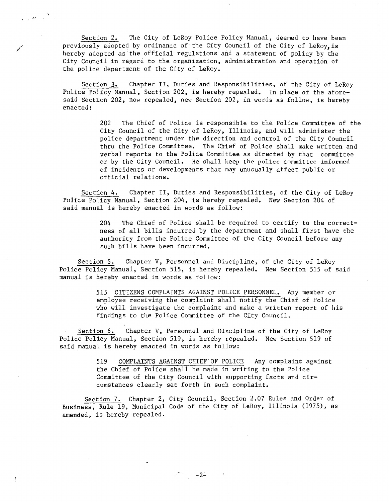Section 2. The City of LeRoy Police Policy Manual, deemed to have been previously adopted by ordinance of the City Council of the City of LeRoy, is hereby adopted as'the official regulations and a statement of policy by the City Council in regard to the organization, administration and operation of the police department of the City of LeRoy.

 $\frac{\gamma}{\gamma-\gamma} \left(2\theta-\gamma\right)^{-\frac{\gamma}{2}} = 0$ 

Section 3. Chapter II, Duties and Responsibilities, of the City of LeRoy Police Policy Manual, Section 202, is hereby repealed. In place of the aforesaid Section 202, now repealed, new Section 202, in words as follow, is hereby enacted:

> 202 The Chief of Police is responsible to the Police Committee of the City Council of the City of LeRoy, Illinois, and will administer the police department under the direction and control of the City Council thru the Police Committee. The Chief of Police shall make written and verbal reports to the Police Committee as directed by that committee or by the City Council. He shall keep the police committee informed of incidents or developments that may unusually affect public or official relations.

Section 4. Chapter II, Duties and Responsibilities, of the City of LeRoy Police Policy Manual, Section 204, is hereby repealed. New Section 204 of said manual is hereby enacted in words as follow:

> 204 The Chief of Police shall be required to certify to the correctness of all bills incurred by the department and shall first have the authority from the Police Committee of the City Council before any such bills have been incurred.

Section 5. Chapter V, Personnel and Discipline, of the City of LeRoy Police Policy Manual, Section 515, is hereby repealed. New Section 515 of said manual is hereby enacted in words as follow:

> 515 CITIZENS COMPLAINTS AGAINST POLICE PERSONNEL. Any member or employee receiving the complaint shall notify the Chief of Police who will investigate the complaint and make a written report of his findings to the Police Committee of the City Council.

Section 6. Chapter V, Personnel and Discipline of the City of LeRoy Police Policy Manual, Section 519, is hereby repealed. New Section 519 of said manual is hereby enacted in words as follow:

> 519 COMPLAINTS AGAINST CHIEF'OF POLICE Any complaint against the Chief of Police shall be made in writing to the Police Committee of the City Council with supporting facts and circumstances clearly set forth in such complaint.

Section 7. Chapter 2, City Council, Section 2.07 Rules and Order of Business, Rule 19, Municipal Code of the City of LeRoy, Illinois (1975), as amended, is hereby repealed.

 $-2-$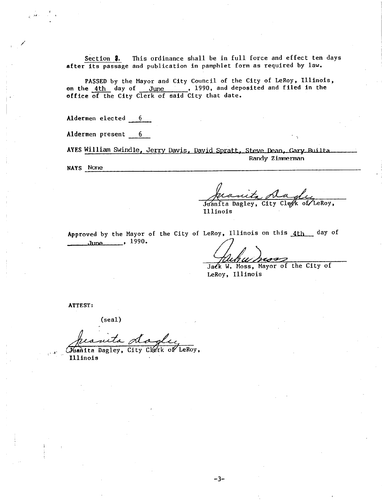Section  $\beta$ . This ordinance shall be in full force and effect ten days after its passage and publication in pamphlet form as required by law.

PASSED by the Mayor and City Council of the City of LeRoy, Illinois, on the 4th day of June , 1990, and deposited and filed in the office of the City Clerk of said City that date.

Aldermen elected 6

Aldermen present 6

AYES William Swindle, Jerry Davis, David Spratt, Steve Dean, Gary Builta Randy Zimmerman

NAYS None

Y

Jack we wanted the City Clerk of the Roy<br>
Illinois<br>
eRoy, Illinois on this 4th day<br>
Jack W. Moss, Mayor of the City of<br>
LeRoy, Illinois

Juanita Dagley, City Clerk of LeRoy, Illinois

Approved by the Mayor of the City of LeRoy, Illinois on this 4th day of  $June$ ,  $1990.$ 

LeRoy, Illinois

ATTEST:

(seal)

(Juanita Dagley, City Clerk of LeRoy, Illinois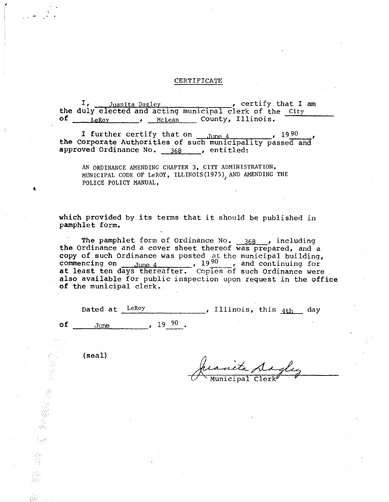## CERTIFICATE

I, <u>Juanita Dagley</u> certify that I am the duly elected and acting municipal clerk of the City of LeRoy , McLean County, Illinois.

I further certify that on  $_{\text{Lune.}4}$ , 1990 the Corporate Authorities of such municipality passed and approved Ordinance No. 368 ........., entitled:

AN ORDINANCE AMENDING CHAPTER 3, CITY ADMINISTRATION, MUNICIPAL CODE OF LeROY, ILLINOIS(1975), AND AMENDING THE POLICE POLICY MANUAL,

which provided by its terms that it should be published in pamphlet form.

The pamphlet form of Ordinance No. 368 , including the Ordinance and a cover sheet thereof was prepared, and a copy of such Ordinance was posted at the municipal building, commencing on  $\frac{June\ 4}{Iune\ 4}$ ,  $\frac{1990}{Ione}$ , and continuing for at least ten days thereafter. Copies of such Ordinance were also available for public inspection upon request in the office of the municipal clerk..

|    | Dated at LeRoy |                           | , Illinois, this $_{4th}$ day |  |  |
|----|----------------|---------------------------|-------------------------------|--|--|
| оf | June           | $\sim$ $19\frac{90}{1}$ . |                               |  |  |

(seal)

a

 $\frac{1}{2}$ 

Municipal Clerk seal)<br>Juanita Ad